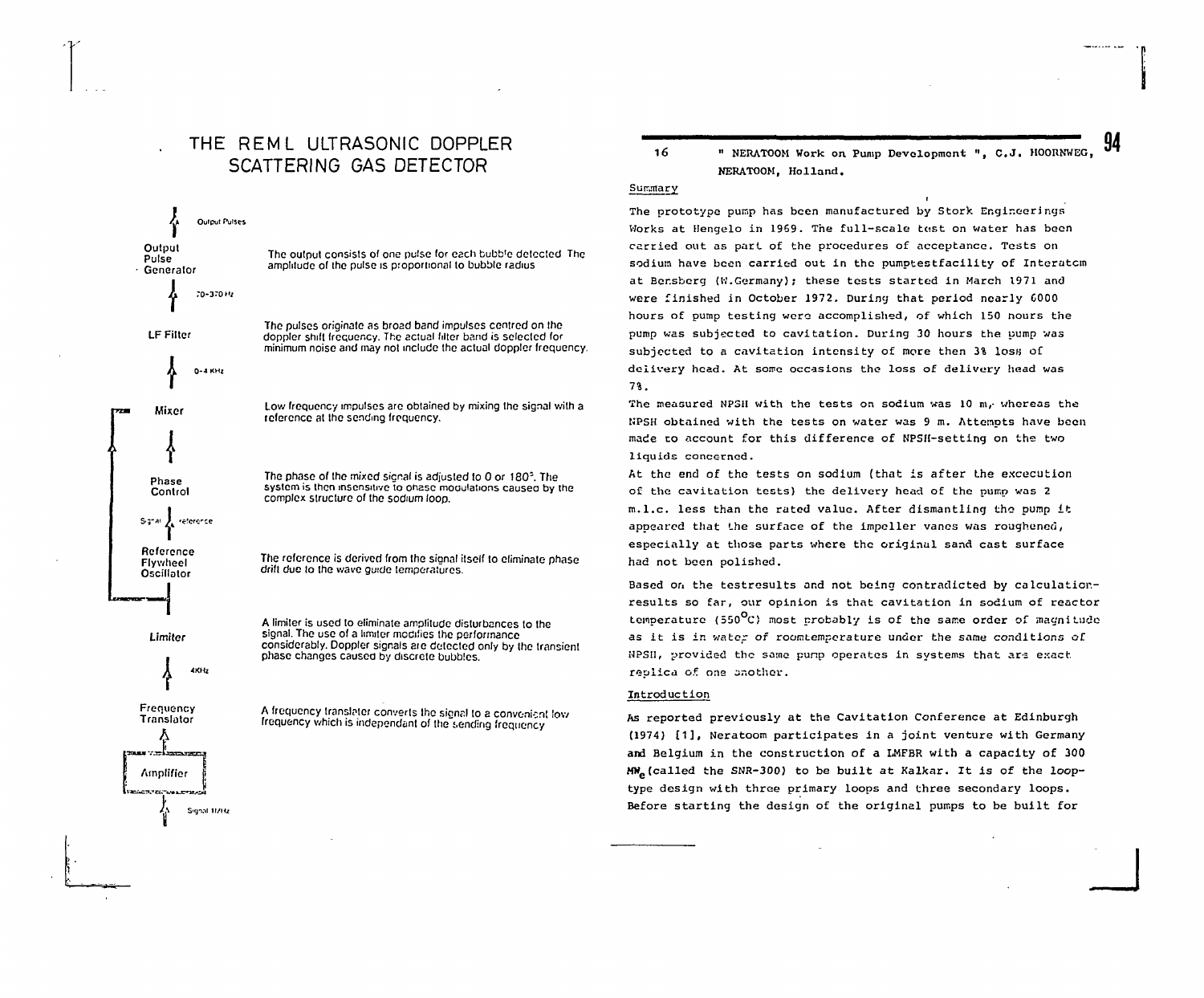# THE REMI UITRASONIC DOPPLER SCATTERING GAS DETECTOR

**Output PulSCS**

Limiter

4KHz

Frequency **Translator** 

**Amplifier** 

**S-gint 11/Hz**



A limiter is used to eliminate amplitude disturbances to the signal. The use of a limiter modifies the performance considerably. Doppler signals are delected only by the transient phase changes caused by discrete bubbles.

A frequency translater converts the signal to a convenient low frequency which is independant of the sending frequency

16 " NERATOOM Work on Pump Development ", C.J. HOORNWEG, NERATOOM, Holland.

**94**

**\_J**

## Summary

The prototype pump has been manufactured by Stork Engineerings Works at Hengelo in 1969. The full-scale tost on water has boon carried out as part of the procedures of acceptance. Tests on sodium have been carried out in the pumptestfacility of Interatom at Eer.sberg (W.Germany) ; these tests started in March 1971 and were finished in October 1972. During that period nearly G000 hours of pump testing were accomplished, of which 150 nours the pump was subjected to cavitation. During 30 hours the pump was subjected to a cavitation intensity of more then 3% loss of delivery head. At some occasions the loss of delivery head was 7%.

The measured NPSII with the tests on sodium was 10 m,- whereas the KPSH obtained with the tests on water was 9 m. Attempts have been made to account for this difference of NPSH-setting on the two liquids concerned.

At the end of the tests on sodium (that is after the excecution of the cavitation tests) the delivery head of the pump was 2 m.l.c. less than the rated value. After dismantling tho pump it appeared that the surface of the impeller vanes was roughened, especially at those parts where the original sand cast surface had not been polished.

Based on the testrosults and not being contradicted by calculaticr. results so far, our opinion is that cavitation in sodium of reactor temperature (550 $^{\circ}$ C) most probably is of the same order of magnitude as it is in water of roomtemperature under the same conditions of WPSII, provided the same punp operates in systems that are exact replica of. one onothcr.

## Introduction

As reported previously at the Cavitation Conference at Edinburgh (1974) [1], Neratoom participates in a joint venture with Germany and Belgium in the construction of a LMFBR with a capacity of 300 MWe(called the SNR-300) to be built at Kalkar. It is of the looptype design with three primary loops and three secondary loops. Before starting the design of the original pumps to be built for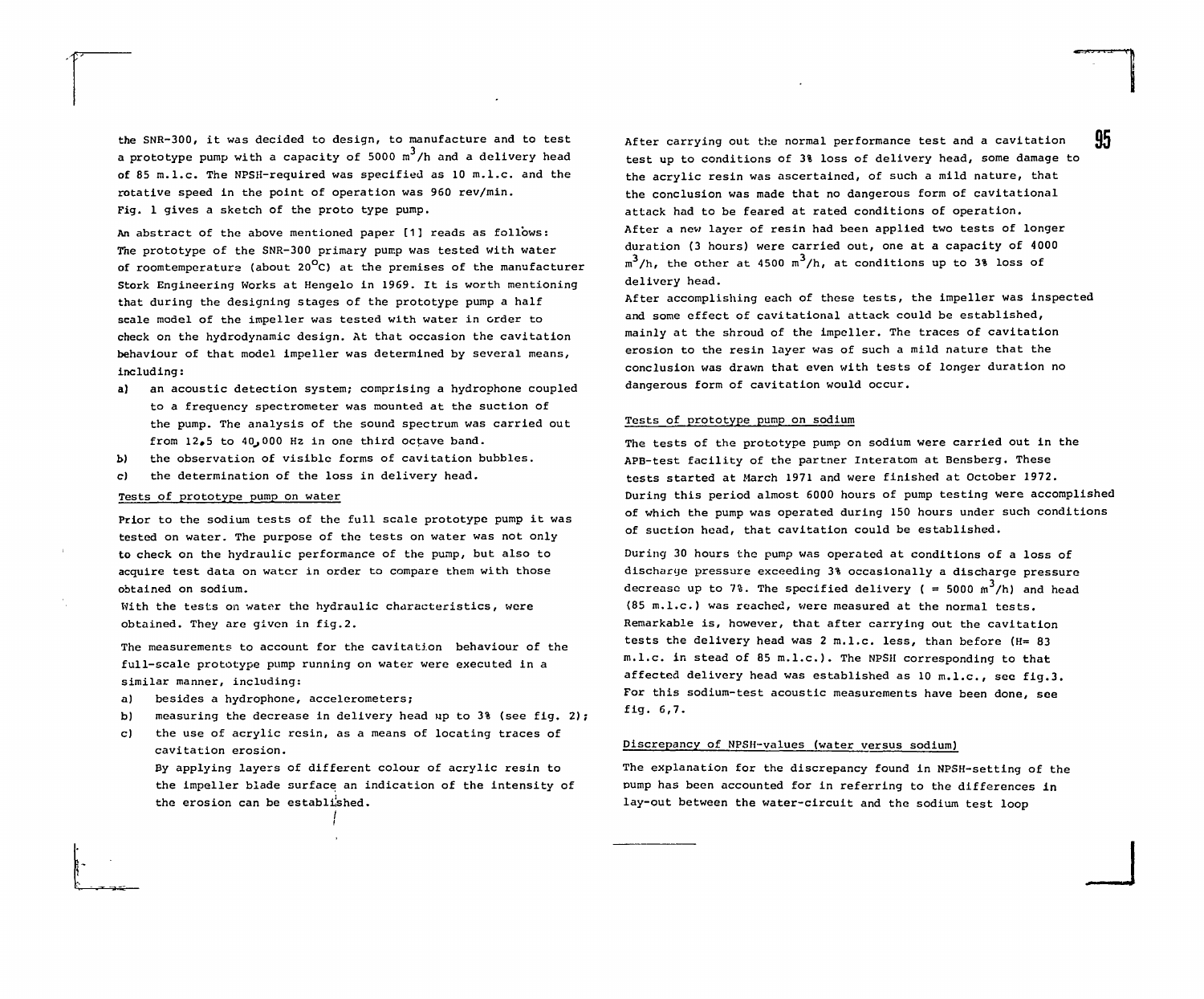the SNR-300, it was decided to design, to manufacture and to test a prototype pump with a capacity of 5000  $m^3/h$  and a delivery head of 85 m.I.e. The NPSH-required was specified as 10 m.l.c. and the rotative speed in the point of operation was 960 rev/min. Fig. 1 gives a sketch of the proto type pump.

An abstract of the above mentioned paper [1] reads as follows: The prototype of the SNR-300 primary pump was tested with water of roomtemperature (about 20<sup>°</sup>C) at the premises of the manufacturer Stork Engineering Works at Hengelo in 1969. It is worth mentioning that during the designing stages of the prototype pump a half scale model of the impeller was tested with water in order to check on the hydrodynamic design. At that occasion the cavitation behaviour of that model impeller was determined by several means, including:

- a) an acoustic detection system; comprising a hydrophone coupled to a frequency spectrometer was mounted at the suction of the pump. The analysis of the sound spectrum was carried out from  $12.5$  to  $40.000$  Hz in one third octave band.
- b) the observation of visible forms of cavitation bubbles.
- c) the determination of the loss in delivery head.

# Tests of prototype pump on water

Prior to the sodium tests of the full scale prototype pump it was tested on water. The purpose of the tests on water was not only to check on the hydraulic performance of the pump, but also to acquire test data on water in order to compare them with those obtained on sodium.

With the tests on water the hydraulic characteristics, were obtained. They are given in fig.2.

The measurements to account for the cavitation behaviour of the full-scale prototype pump running on water were executed in a similar manner, including:

- a) besides a hydrophone, accelerometers;
- b) measuring the decrease in delivery head up to  $3\frac{1}{3}$  (see fig. 2);
- c) the use of acrylic resin, as a means of locating traces of cavitation erosion.

By applying layers of different colour of acrylic resin to the impeller blade surface an indication of the intensity of the erosion can be established.

After carrying out the normal performance test and a cavitation test up to conditions of 3% loss of delivery head, some damage to the acrylic resin was ascertained, of such a mild nature, that the conclusion was made that no dangerous form of cavitational attack had to be feared at rated conditions of operation. After a new layer of resin had been applied two tests of longer duration (3 hours) were carried out, one at a capacity of 4000  $\text{m}^3/\text{h}$ , the other at 4500  $\text{m}^3/\text{h}$ , at conditions up to 3% loss of delivery head.

After accomplishing each of these tests, the impeller was inspected and some effect of cavitational attack could be established, mainly at the shroud of the impeller. The traces of cavitation erosion to the resin layer was of such a mild nature that the conclusion was drawn that even with tests of longer duration no dangerous form of cavitation would occur.

#### Tests of prototype pump on sodium

The tests of the prototype pump on sodium were carried out in the APB-test facility of the partner Interatom at Bensberg. These tests started at March 1971 and were finished at October 1972. During this period almost 6000 hours of pump testing were accomplished of which the pump was operated during 150 hours under such conditions of suction head, that cavitation could be established.

During 30 hours the pump was operated at conditions of a loss of discharge pressure exceeding 3% occasionally a discharge pressure decrease up to 7%. The specified delivery ( = 5000  $\text{m}^3/\text{h}$ ) and head (85 m.l.c.) was reached, were measured at the normal tests. Remarkable is, however, that after carrying out the cavitation tests the delivery head was 2 m.l.c. less, than before (H= 83 m.l.c. in stead of 85 m.l.c.). The NPSH corresponding to that affected delivery head was established as 10 m.l.c., see fig.3. For this sodium-test acoustic measurements have been done, see fig. 6,7.

#### Discrepancy of NPSH-values (water versus sodium)

The explanation for the discrepancy found in NPSH-setting of the pump has been accounted for in referring to the differences in lay-out between the water-circuit and the sodium test loop

**\_ J**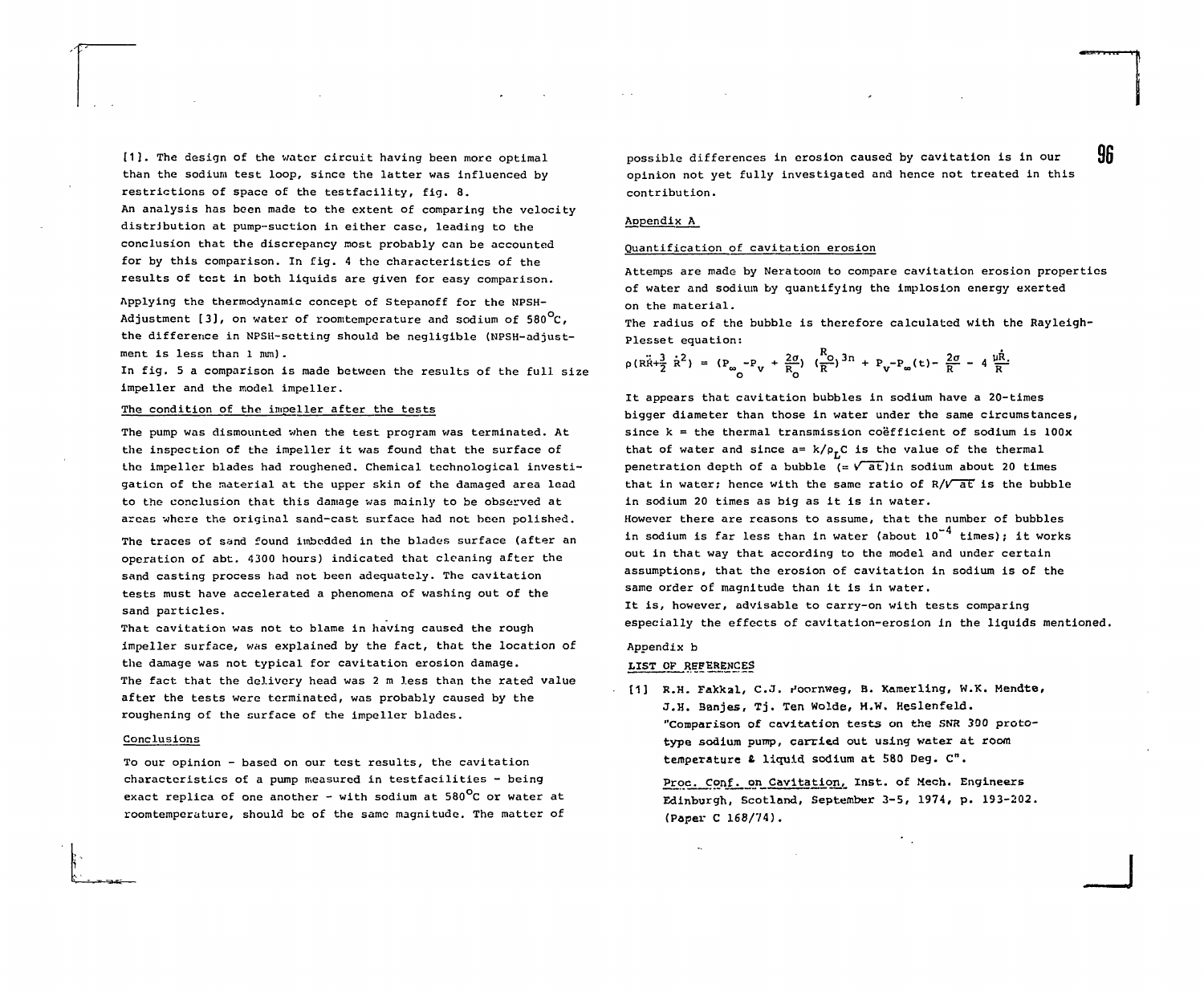[1]. The design of the water circuit having been more optimal than the sodium test loop, since the latter was influenced by restrictions of space of the testfacility, fig. 8. An analysis has been made to the extent of comparing the velocity distribution at pump-suction in either case, leading to the conclusion that the discrepancy most probably can be accounted for by this comparison. In fig. 4 the characteristics of the

Applying the thermodynamic concept of Stepanoff for the NPSH-Adjustment [3], on water of roomtemperature and sodium of 580 $^{\circ}$ C. the difference in NPSH-setting should be negligible (NPSH-adjustment is less than 1 nun) .

results of test in both liquids are given for easy comparison.

In fig. 5 a comparison is made between the results of the full size impeller and the model impeller.

# The condition of the impeller after the tests

The pump was dismounted when the test program was terminated. At the inspection of the impeller it was found that the surface of the impeller blades had roughened. Chemical technological investigation of the material at the upper skin of the damaged area lead to the conclusion that this damage was mainly to be observed at areas where the original sand-cast surface had not been polished.

The traces of sand found imbedded in the blades surface (after an operation of abt. 4300 hours) indicated that cleaning after the sand casting process had not been adequately. The cavitation tests must have accelerated a phenomena of washing out of the sand particles.

That cavitation was not to blame in having caused the rough impeller surface, was explained by the fact, that the location of the damage was not typical for cavitation erosion damage. The fact that the delivery head was 2 m less than the rated value after the tests were terminated, was probably caused by the roughening of the surface of the impeller blades.

#### Conclusions

To our opinion - based on our test results, the cavitation characteristics of a pump measured in testfacilities  $-$  being exact replica of one another - with sodium at 580<sup>0</sup>C or water at roomtemperature, should be of the same magnitude. The matter of

possible differences in erosion caused by cavitation is in our  ${96}$ opinion not yet fully investigated and hence not treated in this contribution.

## Appendix A

## Quantification of cavitation erosion

Attemps are made by Neratoom to compare cavitation erosion properties of water and sodium by quantifying the implosion energy exerted on the material.

The radius of the bubble is therefore calculated with the Raylelgh-Plesset equation:

$$
\rho(R\ddot{R}+\frac{3}{2}\dot{R}^2) = (P_{\infty}-P_{V} + \frac{2\sigma}{R_{O}})(\frac{R_{O}}{R})^{3n} + P_{V}-P_{\infty}(t) - \frac{2\sigma}{R} - 4\frac{\mu\dot{R}}{R}.
$$

It appears that cavitation bubbles in sodium have a 20-times bigger diameter than those in water under the same circumstances, since  $k = the thermal transmission coefficient of sodium is 100x$ that of water and since  $a= k/\rho_rC$  is the value of the thermal penetration depth of a bubble  $(=\sqrt{at})$ in sodium about 20 times that in water; hence with the same ratio of  $R/V$  at is the bubble in sodium 20 times as big as it is in water.

However there are reasons to assume, that the number of bubbles in sodium is far less than in water (about  $10^{-4}$  times): it works out in that way that according to the model and under certain assumptions, that the erosion of cavitation in sodium is of the same order of magnitude than it is in water.

It is, however, advisable to carry-on with tests comparing especially the effects of cavitatlon-erosion in the liquids mentioned.

# Appendix b

#### LIST OF REFERENCES

[1] R.H. Fakkal, C.J. Hoornweg, B. Kamerling, W.K. Mendte, J.H. Banjes, Tj. Ten Wolde, H.W. Heslenfeld. "Comparison of cavitation tests on the SNR 300 prototype sodium pump, carried out using water at room temperature & liquid sodium at 580 Deg. C".

Proc. Conf. on Cavitation, Inst. of Mech. Engineers Edinburgh, Scotland, September 3-5, 1974, p. 193-202. (Paper C 168/74).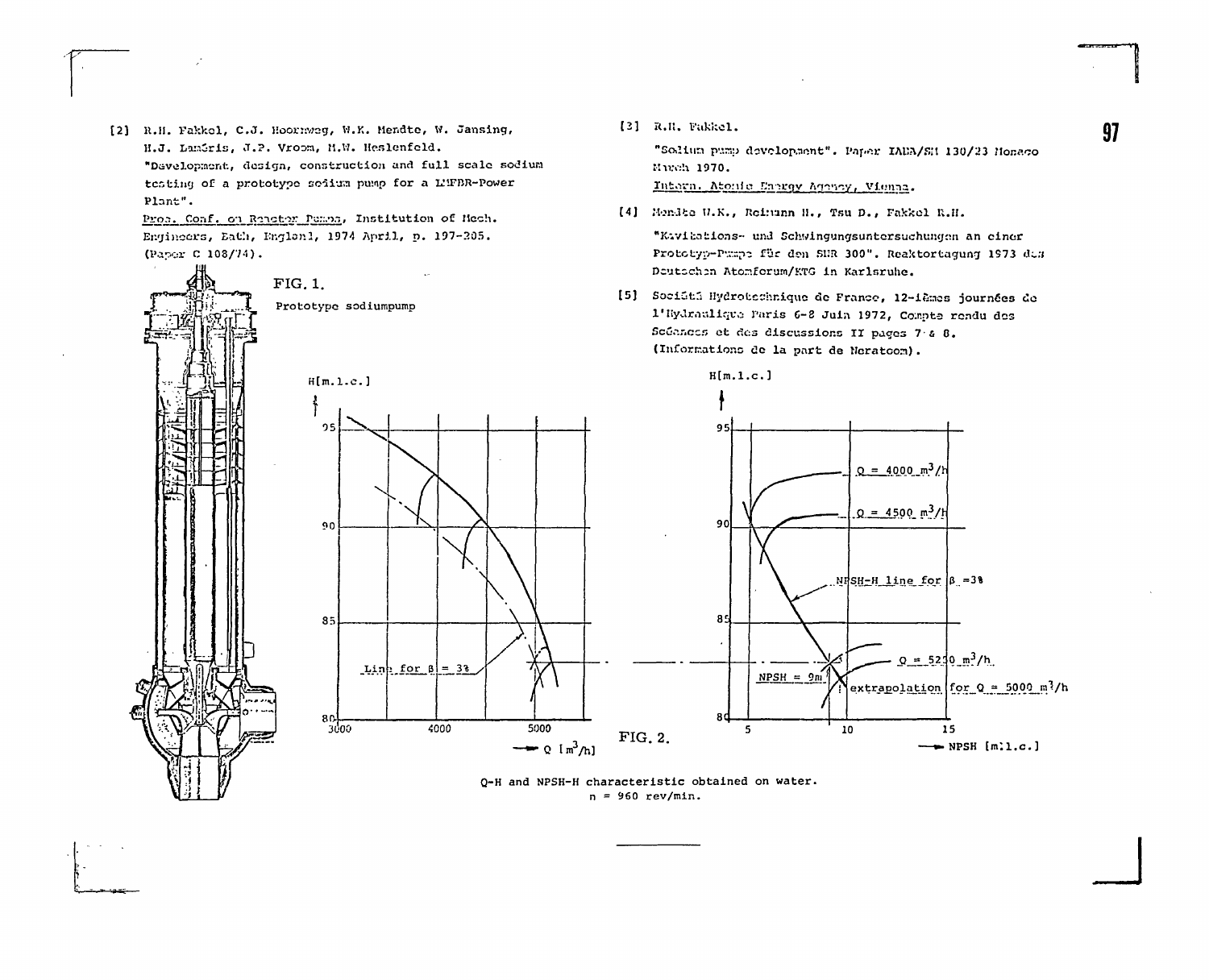[2] R.H. Fakkel, C.J. Hoormwag, W.K. Mendte, W. Jansing, H.J. Lamiris, J.P. Vroom, M.W. Heslenfeld. "Development, design, construction and full scale sodium testing of a prototype sedium pump for a L'IFBR-Power Plant".

Proc. Conf. on Reneter Pemps, Institution of Mech. Engineers, Eath, England, 1974 April, p. 197-205. (Paper C 108/74).



[3] R.R. Fakkel.

Murch 1970.

"Solium pump development". Paper IADA/SH 130/23 Honaco

"Kavibations- und Schwingungsuntersuchungen an einer

Intern. Atonic Energy Agency, Vienna.

[4] Mendte W.K., Reimann N., Tsu D., Fakkel R.H.

O-H and NPSH-H characteristic obtained on water.  $n = 960 rev/min.$ 

97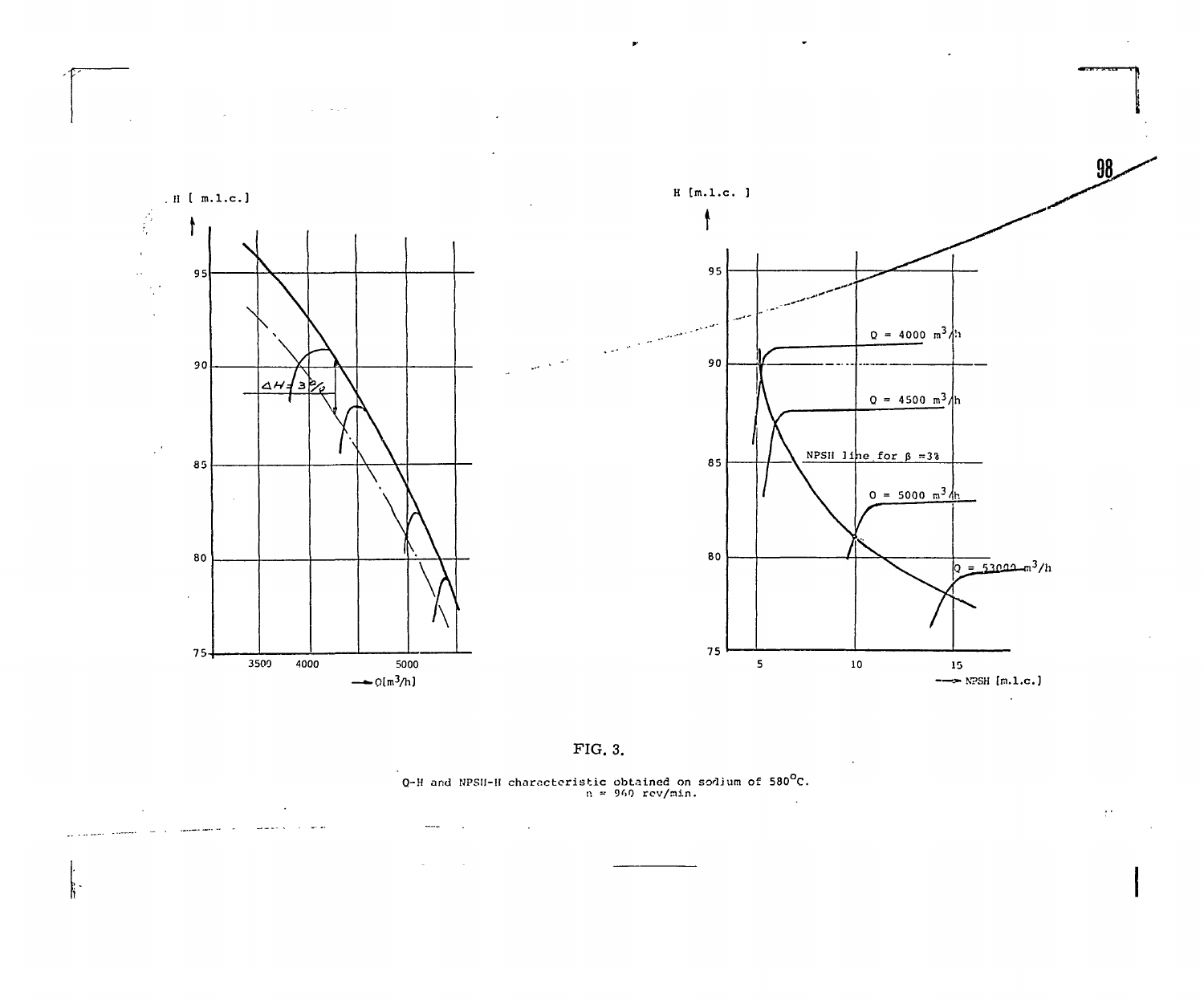**Carlos** 

 $\mathcal{A}$ 

and comment

 $\sim$ 

 $\mathbf{r}$ 



 $98-$ 

 $\sim 10^{11}$ 

 $\pm\epsilon$ 



Q-H and NPSH-H characteristic obtained on sodium of 580<sup>o</sup>C.<br>  $n = 960$  rev/min.  $\mathcal{L}^{\text{max}}_{\text{max}}$  , where  $\mathcal{L}^{\text{max}}_{\text{max}}$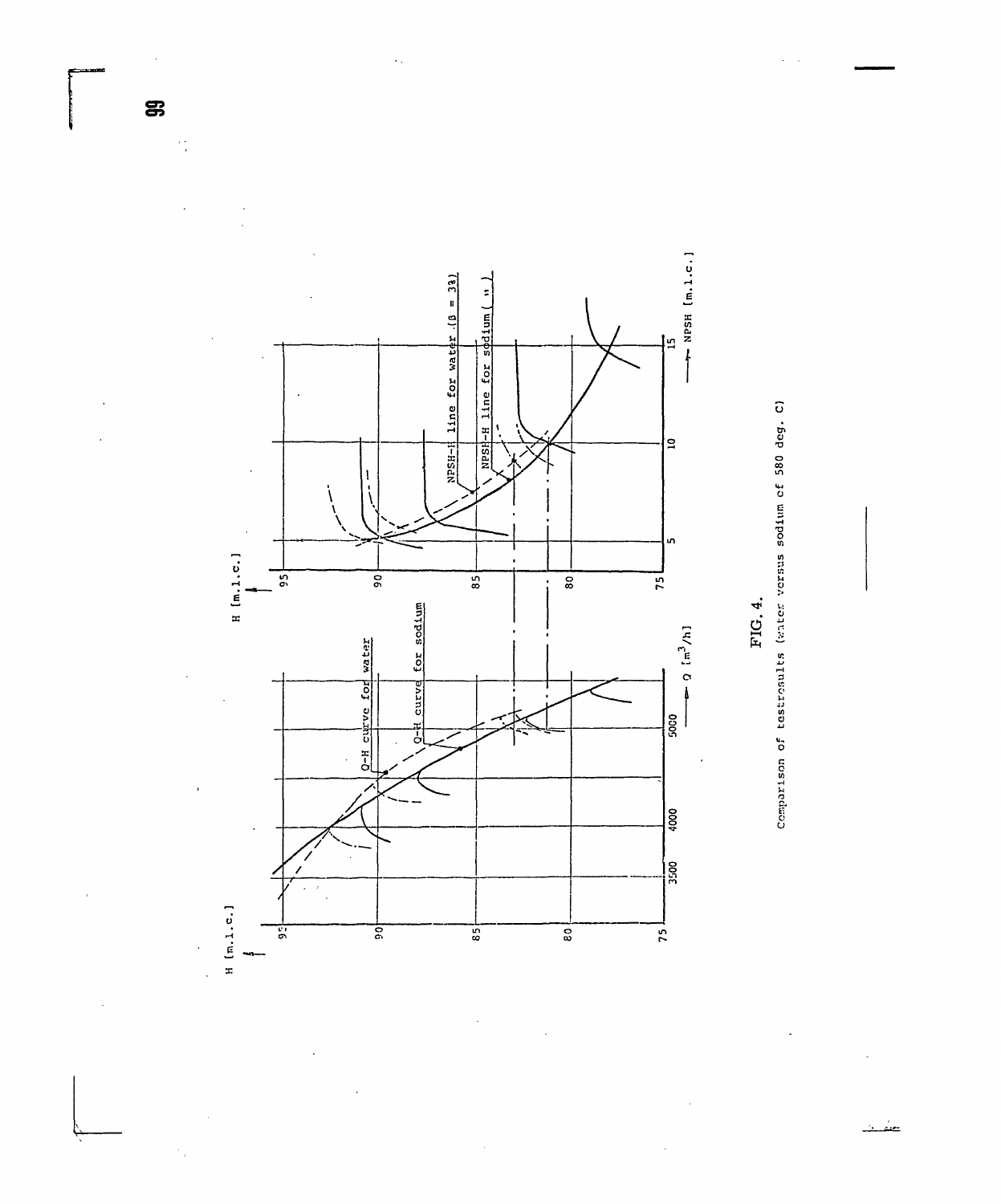

 $\frac{1}{2}$ 



Comparison of testrosults (witer versus sodium of 580 deg. C)

FIG. 4.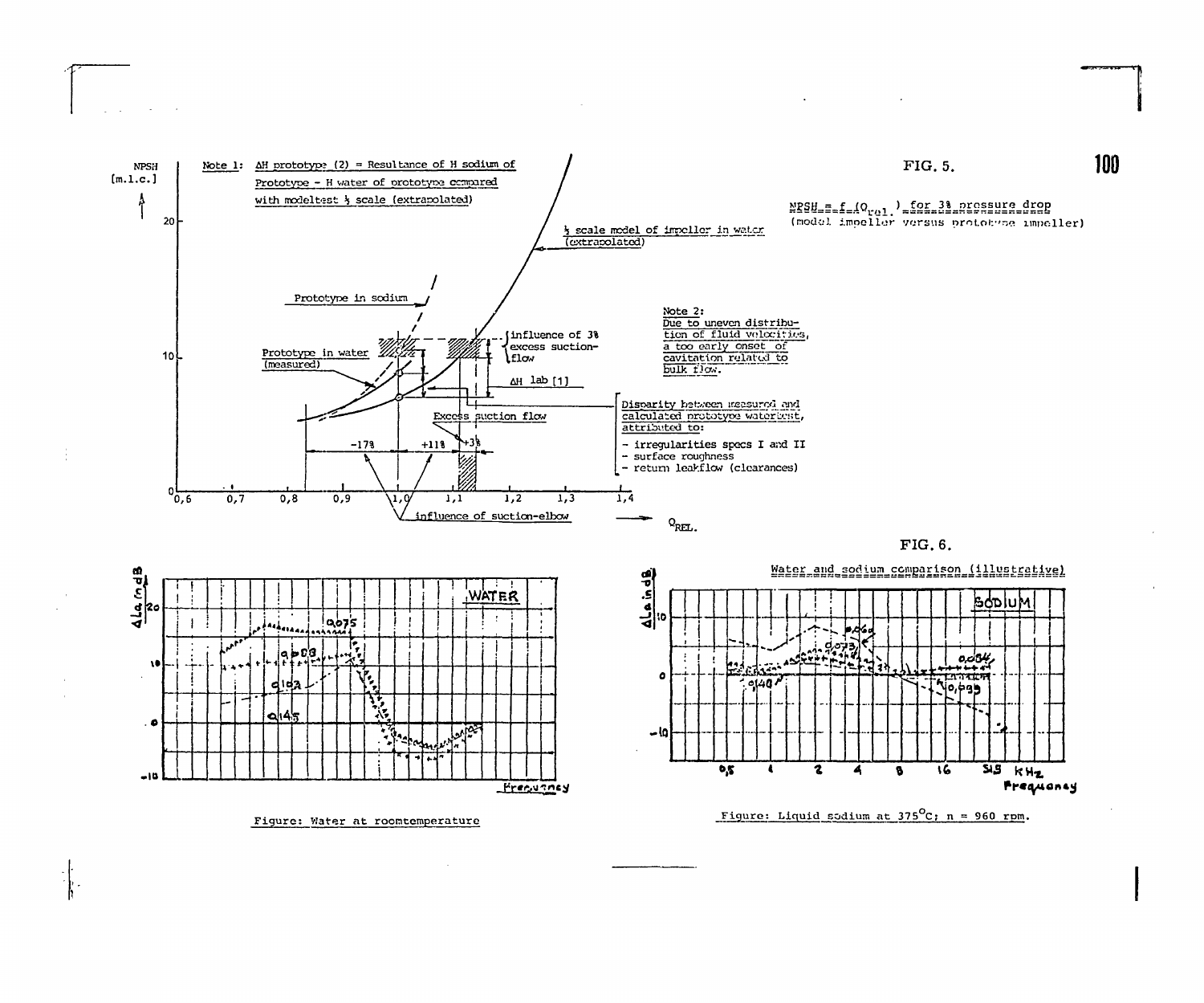